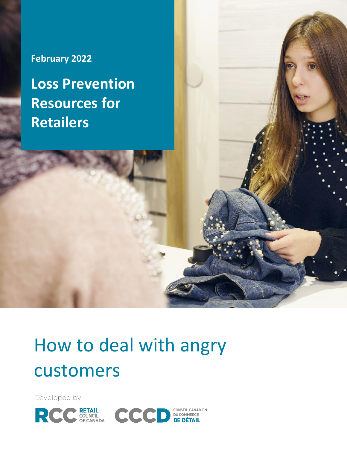# **February 2022**

**Loss Prevention Resources for Retailers**

# How to deal with angry customers

Developed by

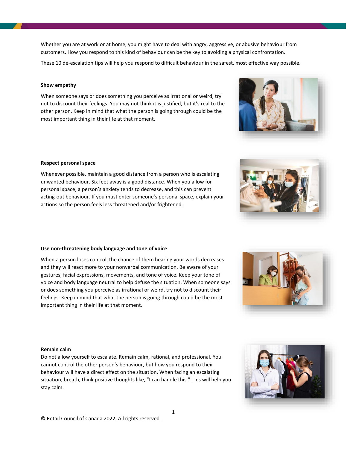Whether you are at work or at home, you might have to deal with angry, aggressive, or abusive behaviour from customers. How you respond to this kind of behaviour can be the key to avoiding a physical confrontation.

These 10 de-escalation tips will help you respond to difficult behaviour in the safest, most effective way possible.

#### **Show empathy**

When someone says or does something you perceive as irrational or weird, try not to discount their feelings. You may not think it is justified, but it's real to the other person. Keep in mind that what the person is going through could be the most important thing in their life at that moment.

#### **Respect personal space**

Whenever possible, maintain a good distance from a person who is escalating unwanted behaviour. Six feet away is a good distance. When you allow for personal space, a person's anxiety tends to decrease, and this can prevent acting-out behaviour. If you must enter someone's personal space, explain your actions so the person feels less threatened and/or frightened.

#### **Use non-threatening body language and tone of voice**

When a person loses control, the chance of them hearing your words decreases and they will react more to your nonverbal communication. Be aware of your gestures, facial expressions, movements, and tone of voice. Keep your tone of voice and body language neutral to help defuse the situation. When someone says or does something you perceive as irrational or weird, try not to discount their feelings. Keep in mind that what the person is going through could be the most important thing in their life at that moment.

### **Remain calm**

Do not allow yourself to escalate. Remain calm, rational, and professional. You cannot control the other person's behaviour, but how you respond to their behaviour will have a direct effect on the situation. When facing an escalating situation, breath, think positive thoughts like, "I can handle this." This will help you stay calm.









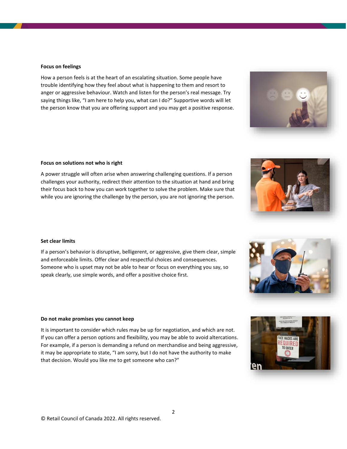#### **Focus on feelings**

How a person feels is at the heart of an escalating situation. Some people have trouble identifying how they feel about what is happening to them and resort to anger or aggressive behaviour. Watch and listen for the person's real message. Try saying things like, "I am here to help you, what can I do?" Supportive words will let the person know that you are offering support and you may get a positive response.

#### **Focus on solutions not who is right**

A power struggle will often arise when answering challenging questions. If a person challenges your authority, redirect their attention to the situation at hand and bring their focus back to how you can work together to solve the problem. Make sure that while you are ignoring the challenge by the person, you are not ignoring the person.

#### **Set clear limits**

If a person's behavior is disruptive, belligerent, or aggressive, give them clear, simple and enforceable limits. Offer clear and respectful choices and consequences. Someone who is upset may not be able to hear or focus on everything you say, so speak clearly, use simple words, and offer a positive choice first.

#### **Do not make promises you cannot keep**

It is important to consider which rules may be up for negotiation, and which are not. If you can offer a person options and flexibility, you may be able to avoid altercations. For example, if a person is demanding a refund on merchandise and being aggressive, it may be appropriate to state, "I am sorry, but I do not have the authority to make that decision. Would you like me to get someone who can?"